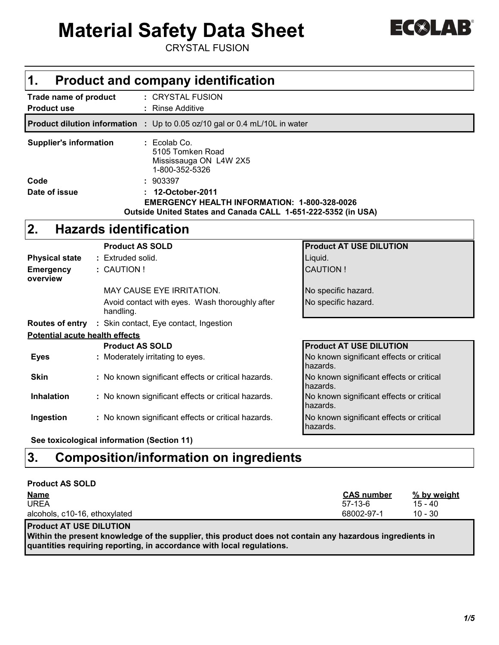# **Material Safety Data Sheet**

CRYSTAL FUSION

| ▌△<br><b>SO</b><br>L.<br><b>COLLEGE</b> |  |
|-----------------------------------------|--|
|-----------------------------------------|--|

| 1.                                                                                                                                                                                                                                                                                            |                                                                                                                                                                                                                                                                             | <b>Product and company identification</b>                                                         |                                                                                        |  |  |  |  |  |
|-----------------------------------------------------------------------------------------------------------------------------------------------------------------------------------------------------------------------------------------------------------------------------------------------|-----------------------------------------------------------------------------------------------------------------------------------------------------------------------------------------------------------------------------------------------------------------------------|---------------------------------------------------------------------------------------------------|----------------------------------------------------------------------------------------|--|--|--|--|--|
| <b>Product use</b>                                                                                                                                                                                                                                                                            | Trade name of product<br>: CRYSTAL FUSION<br><b>Rinse Additive</b>                                                                                                                                                                                                          |                                                                                                   |                                                                                        |  |  |  |  |  |
|                                                                                                                                                                                                                                                                                               | Product dilution information : Up to 0.05 oz/10 gal or 0.4 mL/10L in water                                                                                                                                                                                                  |                                                                                                   |                                                                                        |  |  |  |  |  |
| <b>Supplier's information</b><br>: Ecolab Co.<br>5105 Tomken Road<br>Mississauga ON L4W 2X5<br>1-800-352-5326<br>Code<br>: 903397<br>Date of issue<br>12-October-2011<br><b>EMERGENCY HEALTH INFORMATION: 1-800-328-0026</b><br>Outside United States and Canada CALL 1-651-222-5352 (in USA) |                                                                                                                                                                                                                                                                             |                                                                                                   |                                                                                        |  |  |  |  |  |
| 2.                                                                                                                                                                                                                                                                                            |                                                                                                                                                                                                                                                                             | <b>Hazards identification</b>                                                                     |                                                                                        |  |  |  |  |  |
| <b>Physical state</b><br><b>Emergency</b><br>overview<br>Routes of entry : Skin contact, Eye contact, Ingestion                                                                                                                                                                               | <b>Product AT USE DILUTION</b><br><b>Product AS SOLD</b><br>: Extruded solid.<br>Liquid.<br><b>CAUTION!</b><br>: CAUTION !<br><b>MAY CAUSE EYE IRRITATION.</b><br>No specific hazard.<br>No specific hazard.<br>Avoid contact with eyes. Wash thoroughly after<br>handling. |                                                                                                   |                                                                                        |  |  |  |  |  |
| <b>Potential acute health effects</b>                                                                                                                                                                                                                                                         |                                                                                                                                                                                                                                                                             |                                                                                                   |                                                                                        |  |  |  |  |  |
| <b>Eyes</b>                                                                                                                                                                                                                                                                                   |                                                                                                                                                                                                                                                                             | <b>Product AS SOLD</b><br>: Moderately irritating to eyes.                                        | <b>Product AT USE DILUTION</b><br>No known significant effects or critical<br>hazards. |  |  |  |  |  |
| <b>Skin</b>                                                                                                                                                                                                                                                                                   |                                                                                                                                                                                                                                                                             | : No known significant effects or critical hazards.                                               | No known significant effects or critical<br>hazards.                                   |  |  |  |  |  |
| <b>Inhalation</b>                                                                                                                                                                                                                                                                             |                                                                                                                                                                                                                                                                             | : No known significant effects or critical hazards.                                               | No known significant effects or critical<br>hazards.                                   |  |  |  |  |  |
| Ingestion                                                                                                                                                                                                                                                                                     |                                                                                                                                                                                                                                                                             | : No known significant effects or critical hazards.<br>Osa taubaalaabaal bafamoontan (Osattan 44) | No known significant effects or critical<br>hazards.                                   |  |  |  |  |  |

**See toxicological information (Section 11)**

## **Composition/information on ingredients 3.**

| <b>Product AS SOLD</b>        |                   |             |
|-------------------------------|-------------------|-------------|
| <b>Name</b>                   | <b>CAS number</b> | % by weight |
| <b>UREA</b>                   | $57-13-6$         | $15 - 40$   |
| alcohols, c10-16, ethoxylated | 68002-97-1        | $10 - 30$   |
|                               |                   |             |

**Product AT USE DILUTION**

**Within the present knowledge of the supplier, this product does not contain any hazardous ingredients in quantities requiring reporting, in accordance with local regulations.**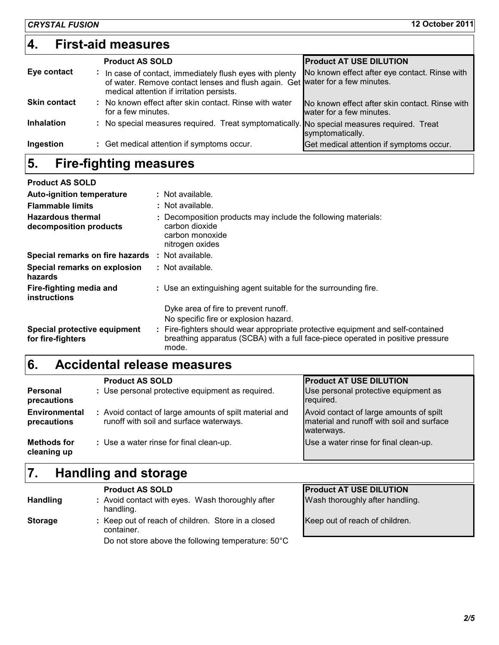| $\vert \mathbf{4} \vert$ | <b>First-aid measures</b>                                                                                                                                                                 |                                                                            |
|--------------------------|-------------------------------------------------------------------------------------------------------------------------------------------------------------------------------------------|----------------------------------------------------------------------------|
|                          | <b>Product AS SOLD</b>                                                                                                                                                                    | <b>Product AT USE DILUTION</b>                                             |
| Eye contact              | In case of contact, immediately flush eyes with plenty<br>÷<br>of water. Remove contact lenses and flush again. Get water for a few minutes.<br>medical attention if irritation persists. | No known effect after eye contact. Rinse with                              |
| <b>Skin contact</b>      | : No known effect after skin contact. Rinse with water<br>for a few minutes.                                                                                                              | No known effect after skin contact. Rinse with<br>water for a few minutes. |
| <b>Inhalation</b>        | : No special measures required. Treat symptomatically. No special measures required. Treat                                                                                                | symptomatically.                                                           |
| Ingestion                | : Get medical attention if symptoms occur.                                                                                                                                                | Get medical attention if symptoms occur.                                   |

#### **Fire-fighting measures 5.**

| <b>Product AS SOLD</b>                                  |                                                                                                                                                                             |
|---------------------------------------------------------|-----------------------------------------------------------------------------------------------------------------------------------------------------------------------------|
| <b>Auto-ignition temperature</b>                        | : Not available.                                                                                                                                                            |
| <b>Flammable limits</b>                                 | : Not available.                                                                                                                                                            |
| <b>Hazardous thermal</b><br>decomposition products      | : Decomposition products may include the following materials:<br>carbon dioxide<br>carbon monoxide<br>nitrogen oxides                                                       |
| <b>Special remarks on fire hazards : Not available.</b> |                                                                                                                                                                             |
| Special remarks on explosion<br>hazards                 | : Not available.                                                                                                                                                            |
| Fire-fighting media and<br>instructions                 | : Use an extinguishing agent suitable for the surrounding fire.                                                                                                             |
|                                                         | Dyke area of fire to prevent runoff.                                                                                                                                        |
|                                                         | No specific fire or explosion hazard.                                                                                                                                       |
| Special protective equipment<br>for fire-fighters       | : Fire-fighters should wear appropriate protective equipment and self-contained<br>breathing apparatus (SCBA) with a full face-piece operated in positive pressure<br>mode. |

#### **Accidental release measures 6.**

|                                     | <b>Product AS SOLD</b>                                                                            | <b>Product AT USE DILUTION</b>                                                                     |
|-------------------------------------|---------------------------------------------------------------------------------------------------|----------------------------------------------------------------------------------------------------|
| Personal<br>precautions             | : Use personal protective equipment as required.                                                  | Use personal protective equipment as<br>required.                                                  |
| <b>Environmental</b><br>precautions | : Avoid contact of large amounts of spilt material and<br>runoff with soil and surface waterways. | Avoid contact of large amounts of spilt<br>material and runoff with soil and surface<br>waterways. |
| <b>Methods for</b><br>cleaning up   | : Use a water rinse for final clean-up.                                                           | Use a water rinse for final clean-up.                                                              |

#### **Handling and storage 7.**

| <b>Handling</b> | <b>Product AS SOLD</b><br>: Avoid contact with eyes. Wash thoroughly after<br>handling.                                | <b>Product AT USE DILUTION</b><br>Wash thoroughly after handling. |
|-----------------|------------------------------------------------------------------------------------------------------------------------|-------------------------------------------------------------------|
| <b>Storage</b>  | : Keep out of reach of children. Store in a closed<br>container.<br>Do not store above the following temperature: 50°C | Keep out of reach of children.                                    |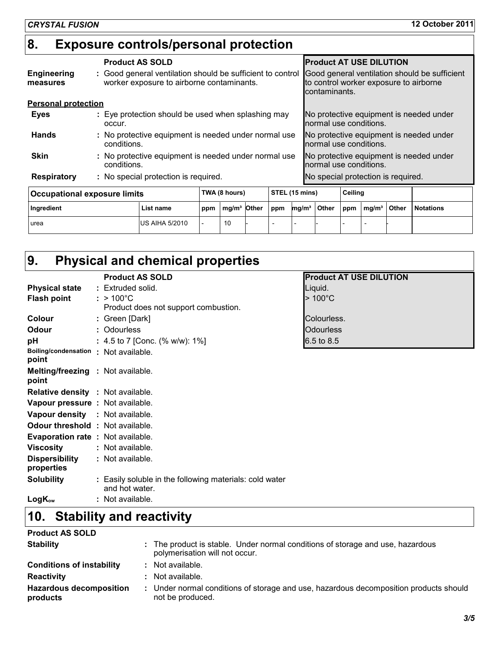## **Exposure controls/personal protection 8.**

|                                                                                    |  | <b>Product AS SOLD</b>                                                                                  |  |                        |  |                                                                   | <b>Product AT USE DILUTION</b>     |                                         |  |                                               |                                         |
|------------------------------------------------------------------------------------|--|---------------------------------------------------------------------------------------------------------|--|------------------------|--|-------------------------------------------------------------------|------------------------------------|-----------------------------------------|--|-----------------------------------------------|-----------------------------------------|
| <b>Engineering</b><br>measures                                                     |  | : Good general ventilation should be sufficient to control<br>worker exposure to airborne contaminants. |  |                        |  | to control worker exposure to airborne<br>contaminants.           |                                    |                                         |  | Good general ventilation should be sufficient |                                         |
| <b>Personal protection</b>                                                         |  |                                                                                                         |  |                        |  |                                                                   |                                    |                                         |  |                                               |                                         |
| <b>Eyes</b>                                                                        |  | : Eye protection should be used when splashing may<br>occur.                                            |  |                        |  | No protective equipment is needed under<br>normal use conditions. |                                    |                                         |  |                                               |                                         |
| <b>Hands</b>                                                                       |  | : No protective equipment is needed under normal use<br>conditions.                                     |  |                        |  |                                                                   | normal use conditions.             |                                         |  |                                               | No protective equipment is needed under |
| : No protective equipment is needed under normal use<br><b>Skin</b><br>conditions. |  |                                                                                                         |  | normal use conditions. |  |                                                                   |                                    | No protective equipment is needed under |  |                                               |                                         |
| : No special protection is required.<br><b>Respiratory</b>                         |  |                                                                                                         |  |                        |  |                                                                   | No special protection is required. |                                         |  |                                               |                                         |
| <b>Occupational exposure limits</b>                                                |  | TWA (8 hours)                                                                                           |  | STEL (15 mins)         |  | Ceiling                                                           |                                    |                                         |  |                                               |                                         |
|                                                                                    |  |                                                                                                         |  |                        |  |                                                                   |                                    |                                         |  |                                               |                                         |

| Occupational exposure limits | IWA 18 NOURSI         |     |                         | STEL (15 MINS) |                          |  | <b>Celling</b> |  |                  |              |                  |
|------------------------------|-----------------------|-----|-------------------------|----------------|--------------------------|--|----------------|--|------------------|--------------|------------------|
| Ingredient                   | List name             | ppm | ma/m <sup>3</sup> Other |                | mg/m $^3$ Other<br>ppm   |  |                |  | $ppm \mid mg/m3$ | <b>Other</b> | <b>Notations</b> |
| <b>urea</b>                  | <b>US AIHA 5/2010</b> |     | 10                      |                | $\overline{\phantom{0}}$ |  |                |  |                  |              |                  |

#### **Physical and chemical properties 9.**

|                                          | <b>Product AS SOLD</b>                                                    | <b>Product AT USE DILUTION</b> |
|------------------------------------------|---------------------------------------------------------------------------|--------------------------------|
| <b>Physical state</b>                    | : Extruded solid.                                                         | Liquid.                        |
| <b>Flash point</b>                       | : $>100^{\circ}$ C                                                        | $>100^{\circ}$ C               |
|                                          | Product does not support combustion.                                      |                                |
| Colour                                   | : Green [Dark]                                                            | Colourless.                    |
| Odour                                    | : Odourless                                                               | <b>Odourless</b>               |
| рH                                       | : 4.5 to 7 [Conc. (% w/w): $1\%$ ]                                        | $6.5 \text{ to } 8.5$          |
| Boiling/condensation : Not available.    |                                                                           |                                |
| point                                    |                                                                           |                                |
| <b>Melting/freezing : Not available.</b> |                                                                           |                                |
| point                                    |                                                                           |                                |
| <b>Relative density : Not available.</b> |                                                                           |                                |
| Vapour pressure : Not available.         |                                                                           |                                |
| Vapour density : Not available.          |                                                                           |                                |
| <b>Odour threshold : Not available.</b>  |                                                                           |                                |
| Evaporation rate : Not available.        |                                                                           |                                |
| <b>Viscosity</b>                         | : Not available.                                                          |                                |
| <b>Dispersibility</b>                    | : Not available.                                                          |                                |
| properties                               |                                                                           |                                |
| <b>Solubility</b>                        | : Easily soluble in the following materials: cold water<br>and hot water. |                                |
| $LogK_{ow}$                              | : Not available.                                                          |                                |

## **Stability and reactivity 10.**

| <b>Product AS SOLD</b>                     |                                                                                                                  |
|--------------------------------------------|------------------------------------------------------------------------------------------------------------------|
| <b>Stability</b>                           | : The product is stable. Under normal conditions of storage and use, hazardous<br>polymerisation will not occur. |
| <b>Conditions of instability</b>           | $:$ Not available.                                                                                               |
| <b>Reactivity</b>                          | $:$ Not available.                                                                                               |
| <b>Hazardous decomposition</b><br>products | : Under normal conditions of storage and use, hazardous decomposition products should<br>not be produced.        |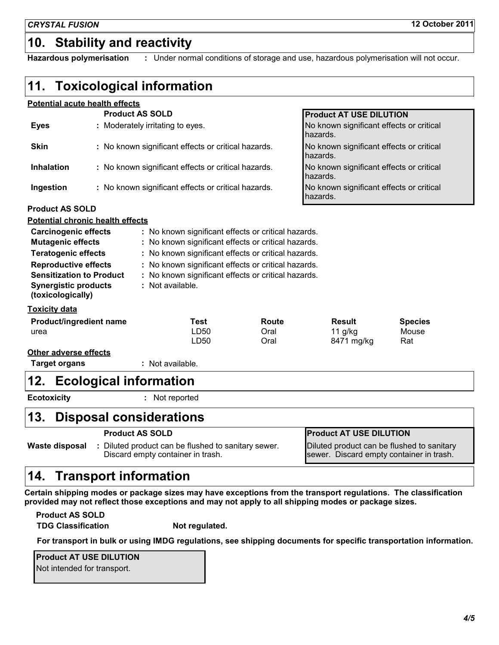## **10. Stability and reactivity**

**Hazardous polymerisation :** Under normal conditions of storage and use, hazardous polymerisation will not occur.

## **11. Toxicological information**

### **Potential acute health effects**

|                                                                                    | <b>Product AS SOLD</b>                              |                                                     |                                                     | <b>Product AT USE DILUTION</b>                       |                |  |
|------------------------------------------------------------------------------------|-----------------------------------------------------|-----------------------------------------------------|-----------------------------------------------------|------------------------------------------------------|----------------|--|
| <b>Eyes</b>                                                                        |                                                     | : Moderately irritating to eyes.                    |                                                     | No known significant effects or critical<br>hazards. |                |  |
| <b>Skin</b>                                                                        |                                                     | : No known significant effects or critical hazards. |                                                     | No known significant effects or critical<br>hazards. |                |  |
| <b>Inhalation</b>                                                                  |                                                     | : No known significant effects or critical hazards. |                                                     | No known significant effects or critical<br>hazards. |                |  |
| Ingestion                                                                          | : No known significant effects or critical hazards. |                                                     |                                                     | No known significant effects or critical<br>hazards. |                |  |
| <b>Product AS SOLD</b>                                                             |                                                     |                                                     |                                                     |                                                      |                |  |
| <b>Potential chronic health effects</b>                                            |                                                     |                                                     |                                                     |                                                      |                |  |
| <b>Carcinogenic effects</b><br>: No known significant effects or critical hazards. |                                                     |                                                     |                                                     |                                                      |                |  |
| <b>Mutagenic effects</b><br>: No known significant effects or critical hazards.    |                                                     |                                                     |                                                     |                                                      |                |  |
| <b>Teratogenic effects</b><br>: No known significant effects or critical hazards.  |                                                     |                                                     |                                                     |                                                      |                |  |
| <b>Reproductive effects</b><br>: No known significant effects or critical hazards. |                                                     |                                                     |                                                     |                                                      |                |  |
| <b>Sensitization to Product</b>                                                    |                                                     |                                                     | : No known significant effects or critical hazards. |                                                      |                |  |
| <b>Synergistic products</b><br>(toxicologically)                                   |                                                     | : Not available.                                    |                                                     |                                                      |                |  |
| <b>Toxicity data</b>                                                               |                                                     |                                                     |                                                     |                                                      |                |  |
| Product/ingredient name                                                            |                                                     | <b>Test</b>                                         | Route                                               | Result                                               | <b>Species</b> |  |
| urea                                                                               |                                                     | LD50                                                | Oral                                                | $11$ g/kg                                            | Mouse          |  |
|                                                                                    |                                                     | LD50                                                | Oral                                                | 8471 mg/kg                                           | Rat            |  |
| <b>Other adverse effects</b>                                                       |                                                     |                                                     |                                                     |                                                      |                |  |
| <b>Target organs</b>                                                               |                                                     | : Not available.                                    |                                                     |                                                      |                |  |
| <b>Ecological information</b><br>12.                                               |                                                     |                                                     |                                                     |                                                      |                |  |
| <b>Ecotoxicity</b>                                                                 |                                                     | Not reported                                        |                                                     |                                                      |                |  |
| 13.<br><b>Disposal considerations</b>                                              |                                                     |                                                     |                                                     |                                                      |                |  |
|                                                                                    |                                                     |                                                     |                                                     |                                                      |                |  |

**Product AS SOLD Product AT USE DILUTION**

Diluted product can be flushed to sanitary sewer. **:** Discard empty container in trash. **Waste disposal**

Diluted product can be flushed to sanitary sewer. Discard empty container in trash.

### **14. Transport information**

**Certain shipping modes or package sizes may have exceptions from the transport regulations. The classification provided may not reflect those exceptions and may not apply to all shipping modes or package sizes.**

**Product AS SOLD**

**TDG Classification Not regulated.**

**For transport in bulk or using IMDG regulations, see shipping documents for specific transportation information.**

**Product AT USE DILUTION** Not intended for transport.